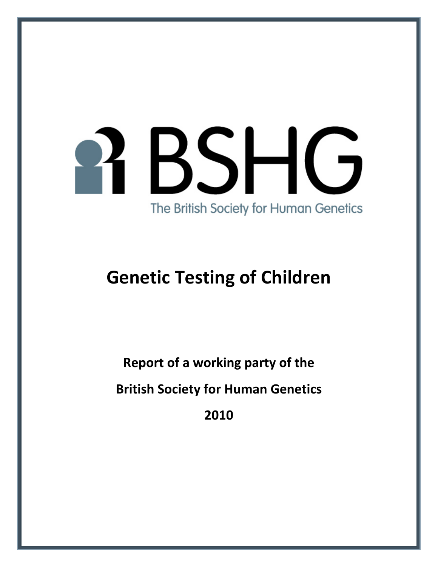# BSHG The British Society for Human Genetics

# **Genetic Testing of Children**

**Report of a working party of the** 

**British Society for Human Genetics**

**2010**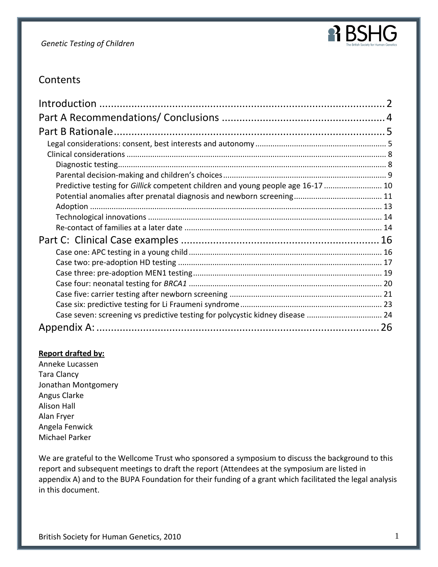

# **Contents**

| Predictive testing for Gillick competent children and young people age 16-17  10 |  |
|----------------------------------------------------------------------------------|--|
|                                                                                  |  |
|                                                                                  |  |
|                                                                                  |  |
|                                                                                  |  |
|                                                                                  |  |
|                                                                                  |  |
|                                                                                  |  |
|                                                                                  |  |
|                                                                                  |  |
|                                                                                  |  |
|                                                                                  |  |
| Case seven: screening vs predictive testing for polycystic kidney disease  24    |  |
|                                                                                  |  |

#### **Report drafted by:**

Anneke Lucassen Tara Clancy Jonathan Montgomery Angus Clarke Alison Hall Alan Fryer Angela Fenwick Michael Parker

We are grateful to the Wellcome Trust who sponsored a symposium to discuss the background to this report and subsequent meetings to draft the report (Attendees at the symposium are listed in appendix A) and to the BUPA Foundation for their funding of a grant which facilitated the legal analysis in this document.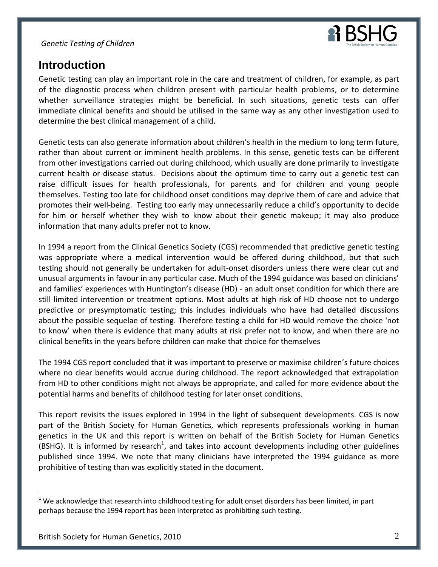

# <span id="page-2-0"></span>**Introduction**

Genetic testing can play an important role in the care and treatment of children, for example, as part of the diagnostic process when children present with particular health problems, or to determine whether surveillance strategies might be beneficial. In such situations, genetic tests can offer immediate clinical benefits and should be utilised in the same way as any other investigation used to determine the best clinical management of a child.

Genetic tests can also generate information about children's health in the medium to long term future, rather than about current or imminent health problems. In this sense, genetic tests can be different from other investigations carried out during childhood, which usually are done primarily to investigate current health or disease status. Decisions about the optimum time to carry out a genetic test can raise difficult issues for health professionals, for parents and for children and young people themselves. Testing too late for childhood onset conditions may deprive them of care and advice that promotes their well-being. Testing too early may unnecessarily reduce a child's opportunity to decide for him or herself whether they wish to know about their genetic makeup; it may also produce information that many adults prefer not to know.

In 1994 a report from the Clinical Genetics Society (CGS) recommended that predictive genetic testing was appropriate where a medical intervention would be offered during childhood, but that such testing should not generally be undertaken for adult-onset disorders unless there were clear cut and unusual arguments in favour in any particular case. Much of the 1994 guidance was based on clinicians' and families' experiences with Huntington's disease (HD) - an adult onset condition for which there are still limited intervention or treatment options. Most adults at high risk of HD choose not to undergo predictive or presymptomatic testing; this includes individuals who have had detailed discussions about the possible sequelae of testing. Therefore testing a child for HD would remove the choice 'not to know' when there is evidence that many adults at risk prefer not to know, and when there are no clinical benefits in the years before children can make that choice for themselves

The 1994 CGS report concluded that it was important to preserve or maximise children's future choices where no clear benefits would accrue during childhood. The report acknowledged that extrapolation from HD to other conditions might not always be appropriate, and called for more evidence about the potential harms and benefits of childhood testing for later onset conditions.

This report revisits the issues explored in 1994 in the light of subsequent developments. CGS is now part of the British Society for Human Genetics, which represents professionals working in human genetics in the UK and this report is written on behalf of the British Society for Human Genetics (BSHG). It is informed by research<sup>1</sup>, and takes into account developments including other guidelines published since 1994. We note that many clinicians have interpreted the 1994 guidance as more prohibitive of testing than was explicitly stated in the document.

 $1$  We acknowledge that research into childhood testing for adult onset disorders has been limited, in part perhaps because the 1994 report has been interpreted as prohibiting such testing.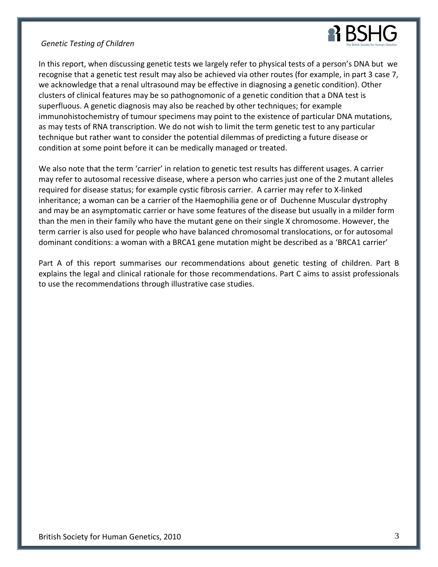

In this report, when discussing genetic tests we largely refer to physical tests of a person's DNA but we recognise that a genetic test result may also be achieved via other routes (for example, in part 3 case 7, we acknowledge that a renal ultrasound may be effective in diagnosing a genetic condition). Other clusters of clinical features may be so pathognomonic of a genetic condition that a DNA test is superfluous. A genetic diagnosis may also be reached by other techniques; for example immunohistochemistry of tumour specimens may point to the existence of particular DNA mutations, as may tests of RNA transcription. We do not wish to limit the term genetic test to any particular technique but rather want to consider the potential dilemmas of predicting a future disease or condition at some point before it can be medically managed or treated.

We also note that the term 'carrier' in relation to genetic test results has different usages. A carrier may refer to autosomal recessive disease, where a person who carries just one of the 2 mutant alleles required for disease status; for example cystic fibrosis carrier. A carrier may refer to X-linked inheritance; a woman can be a carrier of the Haemophilia gene or of Duchenne Muscular dystrophy and may be an asymptomatic carrier or have some features of the disease but usually in a milder form than the men in their family who have the mutant gene on their single X chromosome. However, the term carrier is also used for people who have balanced chromosomal translocations, or for autosomal dominant conditions: a woman with a BRCA1 gene mutation might be described as a 'BRCA1 carrier'

<span id="page-3-0"></span>Part A of this report summarises our recommendations about genetic testing of children. Part B explains the legal and clinical rationale for those recommendations. Part C aims to assist professionals to use the recommendations through illustrative case studies.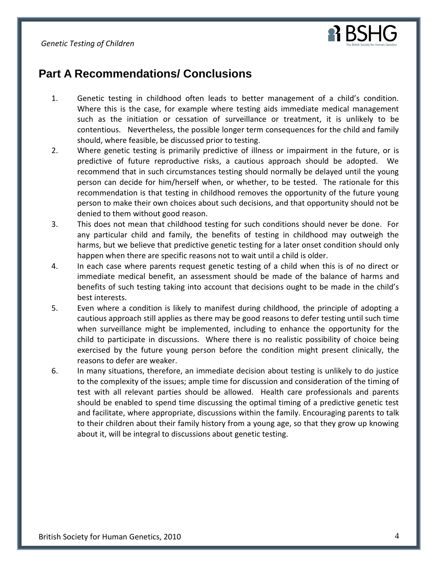

# **Part A Recommendations/ Conclusions**

- 1. Genetic testing in childhood often leads to better management of a child's condition. Where this is the case, for example where testing aids immediate medical management such as the initiation or cessation of surveillance or treatment, it is unlikely to be contentious. Nevertheless, the possible longer term consequences for the child and family should, where feasible, be discussed prior to testing.
- 2. Where genetic testing is primarily predictive of illness or impairment in the future, or is predictive of future reproductive risks, a cautious approach should be adopted. We recommend that in such circumstances testing should normally be delayed until the young person can decide for him/herself when, or whether, to be tested. The rationale for this recommendation is that testing in childhood removes the opportunity of the future young person to make their own choices about such decisions, and that opportunity should not be denied to them without good reason.
- 3. This does not mean that childhood testing for such conditions should never be done. For any particular child and family, the benefits of testing in childhood may outweigh the harms, but we believe that predictive genetic testing for a later onset condition should only happen when there are specific reasons not to wait until a child is older.
- 4. In each case where parents request genetic testing of a child when this is of no direct or immediate medical benefit, an assessment should be made of the balance of harms and benefits of such testing taking into account that decisions ought to be made in the child's best interests.
- 5. Even where a condition is likely to manifest during childhood, the principle of adopting a cautious approach still applies as there may be good reasons to defer testing until such time when surveillance might be implemented, including to enhance the opportunity for the child to participate in discussions. Where there is no realistic possibility of choice being exercised by the future young person before the condition might present clinically, the reasons to defer are weaker.
- <span id="page-4-0"></span>6. In many situations, therefore, an immediate decision about testing is unlikely to do justice to the complexity of the issues; ample time for discussion and consideration of the timing of test with all relevant parties should be allowed. Health care professionals and parents should be enabled to spend time discussing the optimal timing of a predictive genetic test and facilitate, where appropriate, discussions within the family. Encouraging parents to talk to their children about their family history from a young age, so that they grow up knowing about it, will be integral to discussions about genetic testing.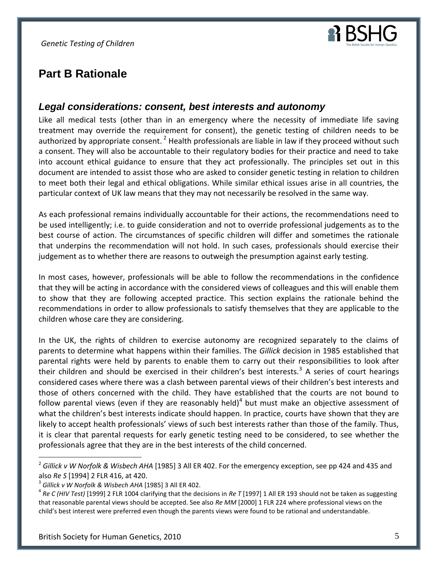

# **Part B Rationale**

# <span id="page-5-0"></span>*Legal considerations: consent, best interests and autonomy*

Like all medical tests (other than in an emergency where the necessity of immediate life saving treatment may override the requirement for consent), the genetic testing of children needs to be authorized by appropriate consent.<sup>2</sup> Health professionals are liable in law if they proceed without such a consent. They will also be accountable to their regulatory bodies for their practice and need to take into account ethical guidance to ensure that they act professionally. The principles set out in this document are intended to assist those who are asked to consider genetic testing in relation to children to meet both their legal and ethical obligations. While similar ethical issues arise in all countries, the particular context of UK law means that they may not necessarily be resolved in the same way.

As each professional remains individually accountable for their actions, the recommendations need to be used intelligently; i.e. to guide consideration and not to override professional judgements as to the best course of action. The circumstances of specific children will differ and sometimes the rationale that underpins the recommendation will not hold. In such cases, professionals should exercise their judgement as to whether there are reasons to outweigh the presumption against early testing.

In most cases, however, professionals will be able to follow the recommendations in the confidence that they will be acting in accordance with the considered views of colleagues and this will enable them to show that they are following accepted practice. This section explains the rationale behind the recommendations in order to allow professionals to satisfy themselves that they are applicable to the children whose care they are considering.

In the UK, the rights of children to exercise autonomy are recognized separately to the claims of parents to determine what happens within their families. The *Gillick* decision in 1985 established that parental rights were held by parents to enable them to carry out their responsibilities to look after their children and should be exercised in their children's best interests.<sup>3</sup> A series of court hearings considered cases where there was a clash between parental views of their children's best interests and those of others concerned with the child. They have established that the courts are not bound to follow parental views (even if they are reasonably held)<sup>4</sup> but must make an objective assessment of what the children's best interests indicate should happen. In practice, courts have shown that they are likely to accept health professionals' views of such best interests rather than those of the family. Thus, it is clear that parental requests for early genetic testing need to be considered, to see whether the professionals agree that they are in the best interests of the child concerned.

<sup>2</sup> *Gillick v W Norfolk & Wisbech AHA* [1985] 3 All ER 402. For the emergency exception, see pp 424 and 435 and also *Re S* [1994] 2 FLR 416, at 420.

<sup>3</sup> *Gillick v W Norfolk & Wisbech AHA* [1985] 3 All ER 402.

<sup>4</sup> *Re C (HIV Test)* [1999] 2 FLR 1004 clarifying that the decisions in *Re T* [1997] 1 All ER 193 should not be taken as suggesting that reasonable parental views should be accepted. See also *Re MM* [2000] 1 FLR 224 where professional views on the child's best interest were preferred even though the parents views were found to be rational and understandable.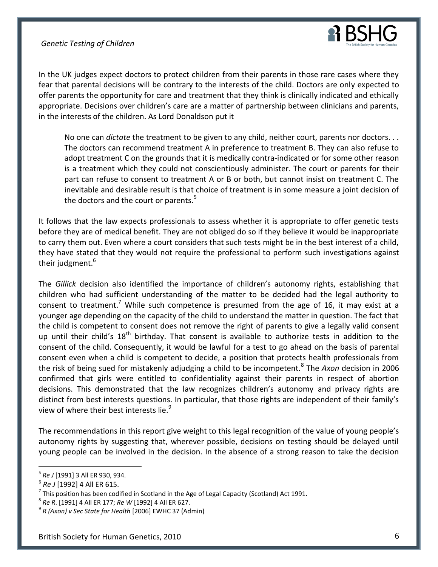

In the UK judges expect doctors to protect children from their parents in those rare cases where they fear that parental decisions will be contrary to the interests of the child. Doctors are only expected to offer parents the opportunity for care and treatment that they think is clinically indicated and ethically appropriate. Decisions over children's care are a matter of partnership between clinicians and parents, in the interests of the children. As Lord Donaldson put it

No one can *dictate* the treatment to be given to any child, neither court, parents nor doctors. . . The doctors can recommend treatment A in preference to treatment B. They can also refuse to adopt treatment C on the grounds that it is medically contra-indicated or for some other reason is a treatment which they could not conscientiously administer. The court or parents for their part can refuse to consent to treatment A or B or both, but cannot insist on treatment C. The inevitable and desirable result is that choice of treatment is in some measure a joint decision of the doctors and the court or parents. $5$ 

It follows that the law expects professionals to assess whether it is appropriate to offer genetic tests before they are of medical benefit. They are not obliged do so if they believe it would be inappropriate to carry them out. Even where a court considers that such tests might be in the best interest of a child, they have stated that they would not require the professional to perform such investigations against their judgment.<sup>6</sup>

The *Gillick* decision also identified the importance of children's autonomy rights, establishing that children who had sufficient understanding of the matter to be decided had the legal authority to consent to treatment.<sup>7</sup> While such competence is presumed from the age of 16, it may exist at a younger age depending on the capacity of the child to understand the matter in question. The fact that the child is competent to consent does not remove the right of parents to give a legally valid consent up until their child's  $18<sup>th</sup>$  birthday. That consent is available to authorize tests in addition to the consent of the child. Consequently, it would be lawful for a test to go ahead on the basis of parental consent even when a child is competent to decide, a position that protects health professionals from the risk of being sued for mistakenly adjudging a child to be incompetent.<sup>8</sup> The Axon decision in 2006 confirmed that girls were entitled to confidentiality against their parents in respect of abortion decisions. This demonstrated that the law recognizes children's autonomy and privacy rights are distinct from best interests questions. In particular, that those rights are independent of their family's view of where their best interests lie. $9$ 

The recommendations in this report give weight to this legal recognition of the value of young people's autonomy rights by suggesting that, wherever possible, decisions on testing should be delayed until young people can be involved in the decision. In the absence of a strong reason to take the decision

<sup>5</sup> *Re J* [1991] 3 All ER 930, 934.

<sup>6</sup> *Re J* [1992] 4 All ER 615.

<sup>7</sup> This position has been codified in Scotland in the Age of Legal Capacity (Scotland) Act 1991.

<sup>8</sup> *Re R*. [1991] 4 All ER 177; *Re W* [1992] 4 All ER 627.

<sup>9</sup> *R (Axon) v Sec State for Health* [2006] EWHC 37 (Admin)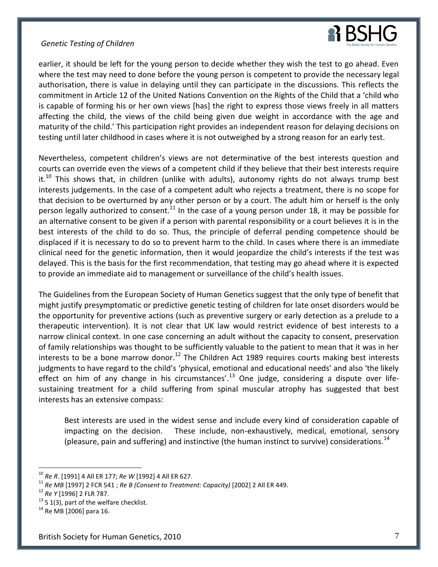

earlier, it should be left for the young person to decide whether they wish the test to go ahead. Even where the test may need to done before the young person is competent to provide the necessary legal authorisation, there is value in delaying until they can participate in the discussions. This reflects the commitment in Article 12 of the United Nations Convention on the Rights of the Child that a 'child who is capable of forming his or her own views [has] the right to express those views freely in all matters affecting the child, the views of the child being given due weight in accordance with the age and maturity of the child.' This participation right provides an independent reason for delaying decisions on testing until later childhood in cases where it is not outweighed by a strong reason for an early test.

Nevertheless, competent children's views are not determinative of the best interests question and courts can override even the views of a competent child if they believe that their best interests require it.<sup>10</sup> This shows that, in children (unlike with adults), autonomy rights do not always trump best interests judgements. In the case of a competent adult who rejects a treatment, there is no scope for that decision to be overturned by any other person or by a court. The adult him or herself is the only person legally authorized to consent.<sup>11</sup> In the case of a young person under 18, it may be possible for an alternative consent to be given if a person with parental responsibility or a court believes it is in the best interests of the child to do so. Thus, the principle of deferral pending competence should be displaced if it is necessary to do so to prevent harm to the child. In cases where there is an immediate clinical need for the genetic information, then it would jeopardize the child's interests if the test was delayed. This is the basis for the first recommendation, that testing may go ahead where it is expected to provide an immediate aid to management or surveillance of the child's health issues.

The Guidelines from the European Society of Human Genetics suggest that the only type of benefit that might justify presymptomatic or predictive genetic testing of children for late onset disorders would be the opportunity for preventive actions (such as preventive surgery or early detection as a prelude to a therapeutic intervention). It is not clear that UK law would restrict evidence of best interests to a narrow clinical context. In one case concerning an adult without the capacity to consent, preservation of family relationships was thought to be sufficiently valuable to the patient to mean that it was in her interests to be a bone marrow donor.<sup>12</sup> The Children Act 1989 requires courts making best interests judgments to have regard to the child's 'physical, emotional and educational needs' and also 'the likely effect on him of any change in his circumstances'.<sup>13</sup> One judge, considering a dispute over lifesustaining treatment for a child suffering from spinal muscular atrophy has suggested that best interests has an extensive compass:

Best interests are used in the widest sense and include every kind of consideration capable of impacting on the decision. These include, non-exhaustively, medical, emotional, sensory (pleasure, pain and suffering) and instinctive (the human instinct to survive) considerations.  $^{14}$ 

<sup>10</sup> *Re R*. [1991] 4 All ER 177; *Re W* [1992] 4 All ER 627.

<sup>11</sup> *Re MB* [1997] 2 FCR 541 ; *Re B (Consent to Treatment: Capacity)* [2002] 2 All ER 449.

<sup>12</sup> *Re Y* [1996] 2 FLR 787.

 $13$  S 1(3), part of the welfare checklist.

 $14$  Re MB [2006] para 16.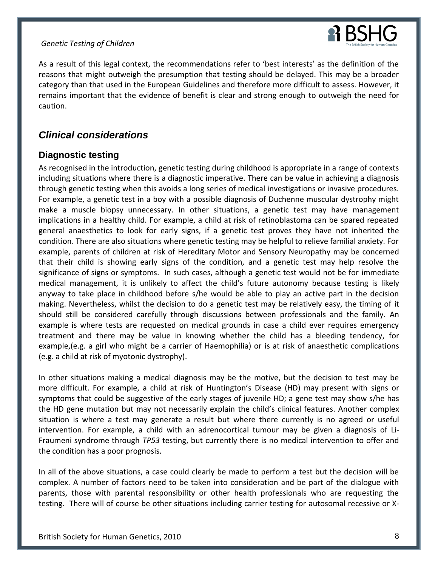

As a result of this legal context, the recommendations refer to 'best interests' as the definition of the reasons that might outweigh the presumption that testing should be delayed. This may be a broader category than that used in the European Guidelines and therefore more difficult to assess. However, it remains important that the evidence of benefit is clear and strong enough to outweigh the need for caution.

# <span id="page-8-0"></span>*Clinical considerations*

# <span id="page-8-1"></span>**Diagnostic testing**

As recognised in the introduction, genetic testing during childhood is appropriate in a range of contexts including situations where there is a diagnostic imperative. There can be value in achieving a diagnosis through genetic testing when this avoids a long series of medical investigations or invasive procedures. For example, a genetic test in a boy with a possible diagnosis of Duchenne muscular dystrophy might make a muscle biopsy unnecessary. In other situations, a genetic test may have management implications in a healthy child. For example, a child at risk of retinoblastoma can be spared repeated general anaesthetics to look for early signs, if a genetic test proves they have not inherited the condition. There are also situations where genetic testing may be helpful to relieve familial anxiety. For example, parents of children at risk of Hereditary Motor and Sensory Neuropathy may be concerned that their child is showing early signs of the condition, and a genetic test may help resolve the significance of signs or symptoms. In such cases, although a genetic test would not be for immediate medical management, it is unlikely to affect the child's future autonomy because testing is likely anyway to take place in childhood before s/he would be able to play an active part in the decision making. Nevertheless, whilst the decision to do a genetic test may be relatively easy, the timing of it should still be considered carefully through discussions between professionals and the family. An example is where tests are requested on medical grounds in case a child ever requires emergency treatment and there may be value in knowing whether the child has a bleeding tendency, for example,(e.g. a girl who might be a carrier of Haemophilia) or is at risk of anaesthetic complications (e.g. a child at risk of myotonic dystrophy).

In other situations making a medical diagnosis may be the motive, but the decision to test may be more difficult. For example, a child at risk of Huntington's Disease (HD) may present with signs or symptoms that could be suggestive of the early stages of juvenile HD; a gene test may show s/he has the HD gene mutation but may not necessarily explain the child's clinical features. Another complex situation is where a test may generate a result but where there currently is no agreed or useful intervention. For example, a child with an adrenocortical tumour may be given a diagnosis of Li-Fraumeni syndrome through *TP53* testing, but currently there is no medical intervention to offer and the condition has a poor prognosis.

In all of the above situations, a case could clearly be made to perform a test but the decision will be complex. A number of factors need to be taken into consideration and be part of the dialogue with parents, those with parental responsibility or other health professionals who are requesting the testing. There will of course be other situations including carrier testing for autosomal recessive or X-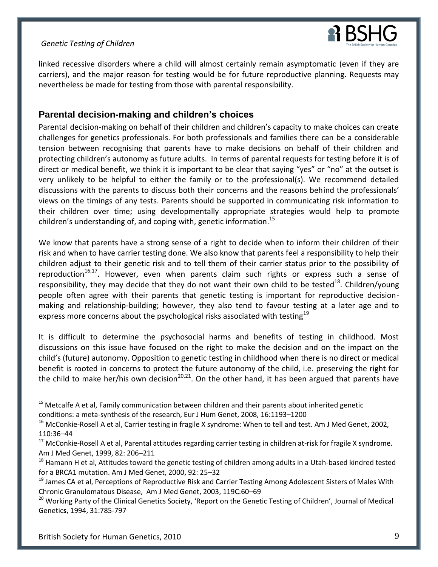

linked recessive disorders where a child will almost certainly remain asymptomatic (even if they are carriers), and the major reason for testing would be for future reproductive planning. Requests may nevertheless be made for testing from those with parental responsibility.

# <span id="page-9-0"></span>**Parental decision-making and children's choices**

Parental decision-making on behalf of their children and children's capacity to make choices can create challenges for genetics professionals. For both professionals and families there can be a considerable tension between recognising that parents have to make decisions on behalf of their children and protecting children's autonomy as future adults. In terms of parental requests for testing before it is of direct or medical benefit, we think it is important to be clear that saying "yes" or "no" at the outset is very unlikely to be helpful to either the family or to the professional(s). We recommend detailed discussions with the parents to discuss both their concerns and the reasons behind the professionals' views on the timings of any tests. Parents should be supported in communicating risk information to their children over time; using developmentally appropriate strategies would help to promote children's understanding of, and coping with, genetic information.<sup>15</sup>

We know that parents have a strong sense of a right to decide when to inform their children of their risk and when to have carrier testing done. We also know that parents feel a responsibility to help their children adjust to their genetic risk and to tell them of their carrier status prior to the possibility of reproduction<sup>16,17</sup>. However, even when parents claim such rights or express such a sense of responsibility, they may decide that they do not want their own child to be tested<sup>18</sup>. Children/young people often agree with their parents that genetic testing is important for reproductive decisionmaking and relationship-building; however, they also tend to favour testing at a later age and to express more concerns about the psychological risks associated with testing<sup>19</sup>

It is difficult to determine the psychosocial harms and benefits of testing in childhood. Most discussions on this issue have focused on the right to make the decision and on the impact on the child's (future) autonomy. Opposition to genetic testing in childhood when there is no direct or medical benefit is rooted in concerns to protect the future autonomy of the child, i.e. preserving the right for the child to make her/his own decision<sup>20,21</sup>. On the other hand, it has been argued that parents have

<sup>&</sup>lt;sup>15</sup> Metcalfe A et al, Family communication between children and their parents about inherited genetic conditions: a meta-synthesis of the research, Eur J Hum Genet, 2008, 16:1193–1200

<sup>&</sup>lt;sup>16</sup> McConkie-Rosell A et al, Carrier testing in fragile X syndrome: When to tell and test. Am J Med Genet, 2002, 110:36–44

<sup>&</sup>lt;sup>17</sup> McConkie-Rosell A et al, Parental attitudes regarding carrier testing in children at-risk for fragile X syndrome. Am J Med Genet, 1999, 82: 206–211

 $18$  Hamann H et al, Attitudes toward the genetic testing of children among adults in a Utah-based kindred tested for a BRCA1 mutation. Am J Med Genet, 2000, 92: 25–32

<sup>&</sup>lt;sup>19</sup> James CA et al, Perceptions of Reproductive Risk and Carrier Testing Among Adolescent Sisters of Males With Chronic Granulomatous Disease, Am J Med Genet, 2003, 119C:60–69

<sup>&</sup>lt;sup>20</sup> Working Party of the Clinical Genetics Society, 'Report on the Genetic Testing of Children', Journal of Medical Genetic**s**, 1994, 31:785-797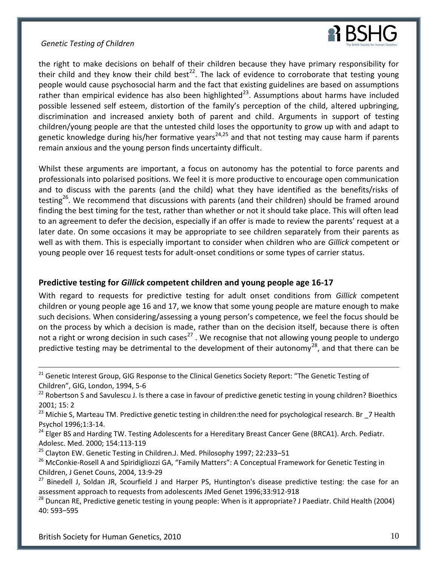

the right to make decisions on behalf of their children because they have primary responsibility for their child and they know their child best<sup>22</sup>. The lack of evidence to corroborate that testing young people would cause psychosocial harm and the fact that existing guidelines are based on assumptions rather than empirical evidence has also been highlighted<sup>23</sup>. Assumptions about harms have included possible lessened self esteem, distortion of the family's perception of the child, altered upbringing, discrimination and increased anxiety both of parent and child. Arguments in support of testing children/young people are that the untested child loses the opportunity to grow up with and adapt to genetic knowledge during his/her formative years<sup>24,25</sup> and that not testing may cause harm if parents remain anxious and the young person finds uncertainty difficult.

Whilst these arguments are important, a focus on autonomy has the potential to force parents and professionals into polarised positions. We feel it is more productive to encourage open communication and to discuss with the parents (and the child) what they have identified as the benefits/risks of testing<sup>26</sup>. We recommend that discussions with parents (and their children) should be framed around finding the best timing for the test, rather than whether or not it should take place. This will often lead to an agreement to defer the decision, especially if an offer is made to review the parents' request at a later date. On some occasions it may be appropriate to see children separately from their parents as well as with them. This is especially important to consider when children who are *Gillick* competent or young people over 16 request tests for adult-onset conditions or some types of carrier status.

# <span id="page-10-0"></span>**Predictive testing for** *Gillick* **competent children and young people age 16-17**

With regard to requests for predictive testing for adult onset conditions from *Gillick* competent children or young people age 16 and 17, we know that some young people are mature enough to make such decisions. When considering/assessing a young person's competence, we feel the focus should be on the process by which a decision is made, rather than on the decision itself, because there is often not a right or wrong decision in such cases<sup>27</sup>. We recognise that not allowing young people to undergo predictive testing may be detrimental to the development of their autonomy<sup>28</sup>, and that there can be

<sup>&</sup>lt;sup>21</sup> Genetic Interest Group, GIG Response to the Clinical Genetics Society Report: "The Genetic Testing of Children", GIG, London, 1994, 5-6

<sup>&</sup>lt;sup>22</sup> Robertson S and Savulescu J. Is there a case in favour of predictive genetic testing in young children? Bioethics 2001; 15: 2

<sup>&</sup>lt;sup>23</sup> Michie S, Marteau TM. Predictive genetic testing in children:the need for psychological research. Br \_7 Health Psychol 1996;1:3-14.

<sup>&</sup>lt;sup>24</sup> Elger BS and Harding TW. Testing Adolescents for a Hereditary Breast Cancer Gene (BRCA1). Arch. Pediatr. Adolesc. Med. 2000; 154:113-119

<sup>&</sup>lt;sup>25</sup> Clayton EW. Genetic Testing in Children.J. Med. Philosophy 1997; 22:233-51

<sup>&</sup>lt;sup>26</sup> McConkie-Rosell A and Spiridigliozzi GA, "Family Matters": A Conceptual Framework for Genetic Testing in Children, J Genet Couns, 2004, 13:9-29

<sup>&</sup>lt;sup>27</sup> Binedell J, Soldan JR, Scourfield J and Harper PS, Huntington's disease predictive testing: the case for an assessment approach to requests from adolescents JMed Genet 1996;33:912-918

<sup>&</sup>lt;sup>28</sup> Duncan RE, Predictive genetic testing in young people: When is it appropriate? J Paediatr. Child Health (2004) 40: 593–595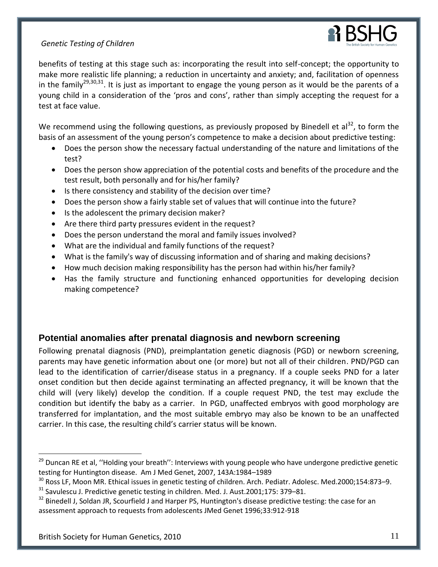

benefits of testing at this stage such as: incorporating the result into self-concept; the opportunity to make more realistic life planning; a reduction in uncertainty and anxiety; and, facilitation of openness in the family<sup>29,30,31</sup>. It is just as important to engage the young person as it would be the parents of a young child in a consideration of the 'pros and cons', rather than simply accepting the request for a test at face value.

We recommend using the following questions, as previously proposed by Binedell et al<sup>32</sup>, to form the basis of an assessment of the young person's competence to make a decision about predictive testing:

- Does the person show the necessary factual understanding of the nature and limitations of the test?
- Does the person show appreciation of the potential costs and benefits of the procedure and the test result, both personally and for his/her family?
- Is there consistency and stability of the decision over time?
- Does the person show a fairly stable set of values that will continue into the future?
- Is the adolescent the primary decision maker?
- Are there third party pressures evident in the request?
- Does the person understand the moral and family issues involved?
- What are the individual and family functions of the request?
- What is the family's way of discussing information and of sharing and making decisions?
- How much decision making responsibility has the person had within his/her family?
- Has the family structure and functioning enhanced opportunities for developing decision making competence?

# <span id="page-11-0"></span>**Potential anomalies after prenatal diagnosis and newborn screening**

Following prenatal diagnosis (PND), preimplantation genetic diagnosis (PGD) or newborn screening, parents may have genetic information about one (or more) but not all of their children. PND/PGD can lead to the identification of carrier/disease status in a pregnancy. If a couple seeks PND for a later onset condition but then decide against terminating an affected pregnancy, it will be known that the child will (very likely) develop the condition. If a couple request PND, the test may exclude the condition but identify the baby as a carrier. In PGD, unaffected embryos with good morphology are transferred for implantation, and the most suitable embryo may also be known to be an unaffected carrier. In this case, the resulting child's carrier status will be known.

<sup>&</sup>lt;sup>29</sup> Duncan RE et al, "Holding your breath": Interviews with young people who have undergone predictive genetic testing for Huntington disease. Am J Med Genet, 2007, 143A:1984–1989

<sup>&</sup>lt;sup>30</sup> Ross LF, Moon MR. Ethical issues in genetic testing of children. Arch. Pediatr. Adolesc. Med.2000;154:873-9.

<sup>&</sup>lt;sup>31</sup> Savulescu J. Predictive genetic testing in children. Med. J. Aust.2001;175: 379-81.

<sup>&</sup>lt;sup>32</sup> Binedell J, Soldan JR, Scourfield J and Harper PS, Huntington's disease predictive testing: the case for an assessment approach to requests from adolescents JMed Genet 1996;33:912-918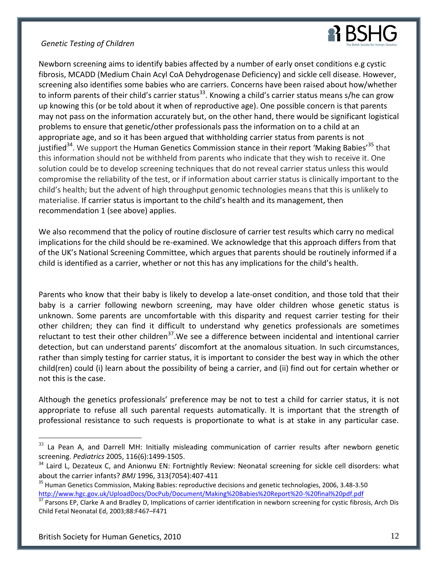

Newborn screening aims to identify babies affected by a number of early onset conditions e.g cystic fibrosis, MCADD (Medium Chain Acyl CoA Dehydrogenase Deficiency) and sickle cell disease. However, screening also identifies some babies who are carriers. Concerns have been raised about how/whether to inform parents of their child's carrier status<sup>33</sup>. Knowing a child's carrier status means s/he can grow up knowing this (or be told about it when of reproductive age). One possible concern is that parents may not pass on the information accurately but, on the other hand, there would be significant logistical problems to ensure that genetic/other professionals pass the information on to a child at an appropriate age, and so it has been argued that withholding carrier status from parents is not justified<sup>34</sup>. We support the Human Genetics Commission stance in their report 'Making Babies'<sup>35</sup> that this information should not be withheld from parents who indicate that they wish to receive it. One solution could be to develop screening techniques that do not reveal carrier status unless this would compromise the reliability of the test, or if information about carrier status is clinically important to the child's health; but the advent of high throughput genomic technologies means that this is unlikely to materialise. If carrier status is important to the child's health and its management, then recommendation 1 (see above) applies.

We also recommend that the policy of routine disclosure of carrier test results which carry no medical implications for the child should be re-examined. We acknowledge that this approach differs from that of the UK's National Screening Committee, which argues that parents should be routinely informed if a child is identified as a carrier, whether or not this has any implications for the child's health.

Parents who know that their baby is likely to develop a late-onset condition, and those told that their baby is a carrier following newborn screening, may have older children whose genetic status is unknown. Some parents are uncomfortable with this disparity and request carrier testing for their other children; they can find it difficult to understand why genetics professionals are sometimes reluctant to test their other children<sup>37</sup>. We see a difference between incidental and intentional carrier detection, but can understand parents' discomfort at the anomalous situation. In such circumstances, rather than simply testing for carrier status, it is important to consider the best way in which the other child(ren) could (i) learn about the possibility of being a carrier, and (ii) find out for certain whether or not this is the case.

Although the genetics professionals' preference may be not to test a child for carrier status, it is not appropriate to refuse all such parental requests automatically. It is important that the strength of professional resistance to such requests is proportionate to what is at stake in any particular case.

<sup>&</sup>lt;sup>33</sup> La Pean A, and Darrell MH: Initially misleading communication of carrier results after newborn genetic screening. *Pediatrics* 2005, 116(6):1499-1505.

<sup>&</sup>lt;sup>34</sup> Laird L, Dezateux C, and Anionwu EN: Fortnightly Review: Neonatal screening for sickle cell disorders: what about the carrier infants? *BMJ* 1996, 313(7054):407-411

<sup>&</sup>lt;sup>35</sup> Human Genetics Commission, Making Babies: reproductive decisions and genetic technologies, 2006, 3.48-3.50 <http://www.hgc.gov.uk/UploadDocs/DocPub/Document/Making%20Babies%20Report%20-%20final%20pdf.pdf>

<sup>&</sup>lt;sup>37</sup> Parsons EP, Clarke A and Bradley D, Implications of carrier identification in newborn screening for cystic fibrosis, Arch Dis Child Fetal Neonatal Ed, 2003;88:F467–F471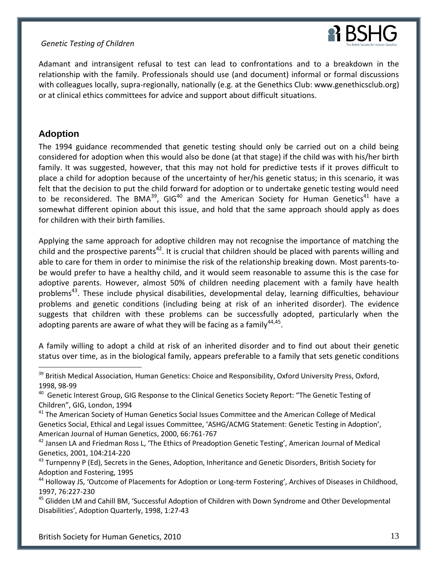

Adamant and intransigent refusal to test can lead to confrontations and to a breakdown in the relationship with the family. Professionals should use (and document) informal or formal discussions with colleagues locally, supra-regionally, nationally (e.g. at the Genethics Club: www.genethicsclub.org) or at clinical ethics committees for advice and support about difficult situations.

# <span id="page-13-0"></span>**Adoption**

 $\overline{a}$ 

The 1994 guidance recommended that genetic testing should only be carried out on a child being considered for adoption when this would also be done (at that stage) if the child was with his/her birth family. It was suggested, however, that this may not hold for predictive tests if it proves difficult to place a child for adoption because of the uncertainty of her/his genetic status; in this scenario, it was felt that the decision to put the child forward for adoption or to undertake genetic testing would need to be reconsidered. The BMA<sup>39</sup>, GIG<sup>40</sup> and the American Society for Human Genetics<sup>41</sup> have a somewhat different opinion about this issue, and hold that the same approach should apply as does for children with their birth families.

Applying the same approach for adoptive children may not recognise the importance of matching the child and the prospective parents<sup>42</sup>. It is crucial that children should be placed with parents willing and able to care for them in order to minimise the risk of the relationship breaking down. Most parents-tobe would prefer to have a healthy child, and it would seem reasonable to assume this is the case for adoptive parents. However, almost 50% of children needing placement with a family have health problems<sup>43</sup>. These include physical disabilities, developmental delay, learning difficulties, behaviour problems and genetic conditions (including being at risk of an inherited disorder). The evidence suggests that children with these problems can be successfully adopted, particularly when the adopting parents are aware of what they will be facing as a family $44,45$ .

A family willing to adopt a child at risk of an inherited disorder and to find out about their genetic status over time, as in the biological family, appears preferable to a family that sets genetic conditions

<sup>&</sup>lt;sup>39</sup> British Medical Association, Human Genetics: Choice and Responsibility, Oxford University Press, Oxford, 1998, 98-99

<sup>&</sup>lt;sup>40</sup> Genetic Interest Group, GIG Response to the Clinical Genetics Society Report: "The Genetic Testing of Children", GIG, London, 1994

<sup>&</sup>lt;sup>41</sup> The American Society of Human Genetics Social Issues Committee and the American College of Medical Genetics Social, Ethical and Legal issues Committee, 'ASHG/ACMG Statement: Genetic Testing in Adoption', American Journal of Human Genetics, 2000, 66:761-767

<sup>&</sup>lt;sup>42</sup> Jansen LA and Friedman Ross L, 'The Ethics of Preadoption Genetic Testing', American Journal of Medical Genetics, 2001, 104:214-220

 $^{43}$  Turnpenny P (Ed), Secrets in the Genes, Adoption, Inheritance and Genetic Disorders, British Society for Adoption and Fostering, 1995

<sup>&</sup>lt;sup>44</sup> Holloway JS, 'Outcome of Placements for Adoption or Long-term Fostering', Archives of Diseases in Childhood, 1997, 76:227-230

<sup>&</sup>lt;sup>45</sup> Glidden LM and Cahill BM, 'Successful Adoption of Children with Down Syndrome and Other Developmental Disabilities', Adoption Quarterly, 1998, 1:27-43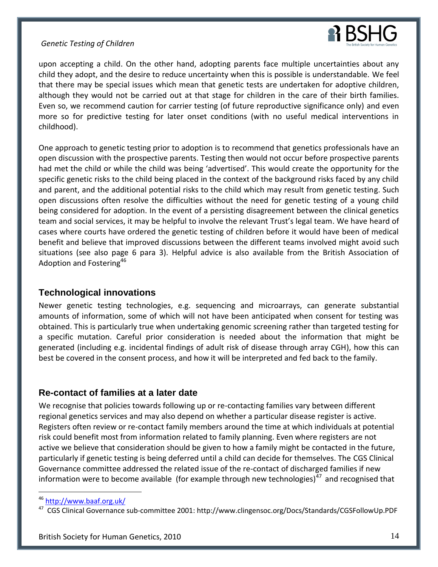

upon accepting a child. On the other hand, adopting parents face multiple uncertainties about any child they adopt, and the desire to reduce uncertainty when this is possible is understandable. We feel that there may be special issues which mean that genetic tests are undertaken for adoptive children, although they would not be carried out at that stage for children in the care of their birth families. Even so, we recommend caution for carrier testing (of future reproductive significance only) and even more so for predictive testing for later onset conditions (with no useful medical interventions in childhood).

One approach to genetic testing prior to adoption is to recommend that genetics professionals have an open discussion with the prospective parents. Testing then would not occur before prospective parents had met the child or while the child was being 'advertised'. This would create the opportunity for the specific genetic risks to the child being placed in the context of the background risks faced by any child and parent, and the additional potential risks to the child which may result from genetic testing. Such open discussions often resolve the difficulties without the need for genetic testing of a young child being considered for adoption. In the event of a persisting disagreement between the clinical genetics team and social services, it may be helpful to involve the relevant Trust's legal team. We have heard of cases where courts have ordered the genetic testing of children before it would have been of medical benefit and believe that improved discussions between the different teams involved might avoid such situations (see also page 6 para 3). Helpful advice is also available from the British Association of Adoption and Fostering<sup>46</sup>

# <span id="page-14-0"></span>**Technological innovations**

Newer genetic testing technologies, e.g. sequencing and microarrays, can generate substantial amounts of information, some of which will not have been anticipated when consent for testing was obtained. This is particularly true when undertaking genomic screening rather than targeted testing for a specific mutation. Careful prior consideration is needed about the information that might be generated (including e.g. incidental findings of adult risk of disease through array CGH), how this can best be covered in the consent process, and how it will be interpreted and fed back to the family.

# <span id="page-14-1"></span>**Re-contact of families at a later date**

We recognise that policies towards following up or re-contacting families vary between different regional genetics services and may also depend on whether a particular disease register is active. Registers often review or re-contact family members around the time at which individuals at potential risk could benefit most from information related to family planning. Even where registers are not active we believe that consideration should be given to how a family might be contacted in the future, particularly if genetic testing is being deferred until a child can decide for themselves. The CGS Clinical Governance committee addressed the related issue of the re-contact of discharged families if new information were to become available (for example through new technologies) $47$  and recognised that

<sup>46</sup> <http://www.baaf.org.uk/>

<sup>47</sup> CGS Clinical Governance sub-committee 2001: http://www.clingensoc.org/Docs/Standards/CGSFollowUp.PDF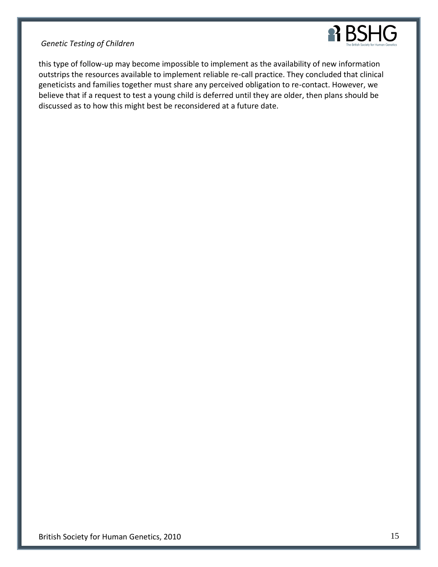

this type of follow-up may become impossible to implement as the availability of new information outstrips the resources available to implement reliable re-call practice. They concluded that clinical geneticists and families together must share any perceived obligation to re-contact. However, we believe that if a request to test a young child is deferred until they are older, then plans should be discussed as to how this might best be reconsidered at a future date.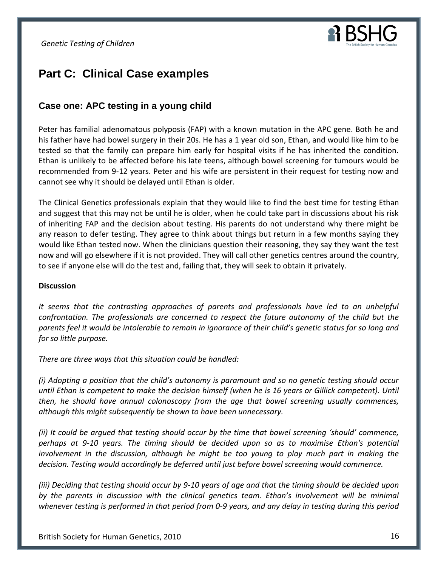

# <span id="page-16-0"></span>**Part C: Clinical Case examples**

# <span id="page-16-1"></span>**Case one: APC testing in a young child**

Peter has familial adenomatous polyposis (FAP) with a known mutation in the APC gene. Both he and his father have had bowel surgery in their 20s. He has a 1 year old son, Ethan, and would like him to be tested so that the family can prepare him early for hospital visits if he has inherited the condition. Ethan is unlikely to be affected before his late teens, although bowel screening for tumours would be recommended from 9-12 years. Peter and his wife are persistent in their request for testing now and cannot see why it should be delayed until Ethan is older.

The Clinical Genetics professionals explain that they would like to find the best time for testing Ethan and suggest that this may not be until he is older, when he could take part in discussions about his risk of inheriting FAP and the decision about testing. His parents do not understand why there might be any reason to defer testing. They agree to think about things but return in a few months saying they would like Ethan tested now. When the clinicians question their reasoning, they say they want the test now and will go elsewhere if it is not provided. They will call other genetics centres around the country, to see if anyone else will do the test and, failing that, they will seek to obtain it privately.

#### **Discussion**

*It seems that the contrasting approaches of parents and professionals have led to an unhelpful confrontation. The professionals are concerned to respect the future autonomy of the child but the parents feel it would be intolerable to remain in ignorance of their child's genetic status for so long and for so little purpose.*

*There are three ways that this situation could be handled:*

*(i) Adopting a position that the child's autonomy is paramount and so no genetic testing should occur until Ethan is competent to make the decision himself (when he is 16 years or Gillick competent). Until then, he should have annual colonoscopy from the age that bowel screening usually commences, although this might subsequently be shown to have been unnecessary.*

*(ii) It could be argued that testing should occur by the time that bowel screening 'should' commence, perhaps at 9-10 years. The timing should be decided upon so as to maximise Ethan's potential involvement in the discussion, although he might be too young to play much part in making the decision. Testing would accordingly be deferred until just before bowel screening would commence.*

*(iii) Deciding that testing should occur by 9-10 years of age and that the timing should be decided upon by the parents in discussion with the clinical genetics team. Ethan's involvement will be minimal whenever testing is performed in that period from 0-9 years, and any delay in testing during this period*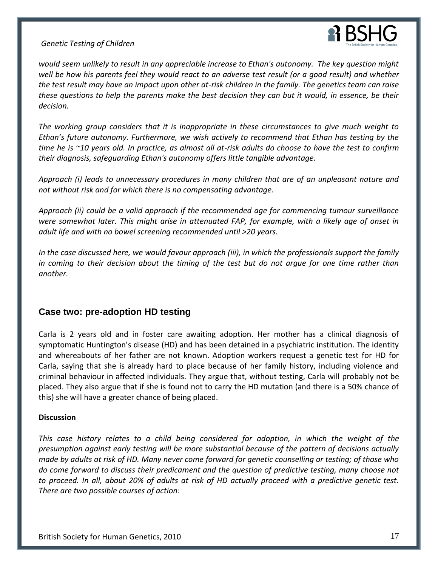

*would seem unlikely to result in any appreciable increase to Ethan's autonomy. The key question might well be how his parents feel they would react to an adverse test result (or a good result) and whether the test result may have an impact upon other at-risk children in the family. The genetics team can raise these questions to help the parents make the best decision they can but it would, in essence, be their decision.*

*The working group considers that it is inappropriate in these circumstances to give much weight to Ethan's future autonomy. Furthermore, we wish actively to recommend that Ethan has testing by the time he is ~10 years old. In practice, as almost all at-risk adults do choose to have the test to confirm their diagnosis, safeguarding Ethan's autonomy offers little tangible advantage.* 

*Approach (i) leads to unnecessary procedures in many children that are of an unpleasant nature and not without risk and for which there is no compensating advantage.*

*Approach (ii) could be a valid approach if the recommended age for commencing tumour surveillance were somewhat later. This might arise in attenuated FAP, for example, with a likely age of onset in adult life and with no bowel screening recommended until >20 years.*

*In the case discussed here, we would favour approach (iii), in which the professionals support the family in coming to their decision about the timing of the test but do not argue for one time rather than another.*

# <span id="page-17-0"></span>**Case two: pre-adoption HD testing**

Carla is 2 years old and in foster care awaiting adoption. Her mother has a clinical diagnosis of symptomatic Huntington's disease (HD) and has been detained in a psychiatric institution. The identity and whereabouts of her father are not known. Adoption workers request a genetic test for HD for Carla, saying that she is already hard to place because of her family history, including violence and criminal behaviour in affected individuals. They argue that, without testing, Carla will probably not be placed. They also argue that if she is found not to carry the HD mutation (and there is a 50% chance of this) she will have a greater chance of being placed.

#### **Discussion**

*This case history relates to a child being considered for adoption, in which the weight of the presumption against early testing will be more substantial because of the pattern of decisions actually made by adults at risk of HD. Many never come forward for genetic counselling or testing; of those who do come forward to discuss their predicament and the question of predictive testing, many choose not to proceed. In all, about 20% of adults at risk of HD actually proceed with a predictive genetic test. There are two possible courses of action:*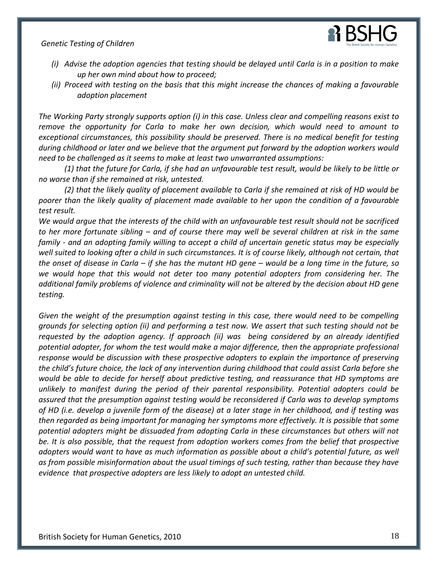

- *(i) Advise the adoption agencies that testing should be delayed until Carla is in a position to make up her own mind about how to proceed;*
- *(ii) Proceed with testing on the basis that this might increase the chances of making a favourable adoption placement*

*The Working Party strongly supports option (i) in this case. Unless clear and compelling reasons exist to remove the opportunity for Carla to make her own decision, which would need to amount to exceptional circumstances, this possibility should be preserved. There is no medical benefit for testing during childhood or later and we believe that the argument put forward by the adoption workers would need to be challenged as it seems to make at least two unwarranted assumptions:*

*(1) that the future for Carla, if she had an unfavourable test result, would be likely to be little or no worse than if she remained at risk, untested.* 

*(2) that the likely quality of placement available to Carla if she remained at risk of HD would be poorer than the likely quality of placement made available to her upon the condition of a favourable test result.* 

*We would argue that the interests of the child with an unfavourable test result should not be sacrificed to her more fortunate sibling – and of course there may well be several children at risk in the same family - and an adopting family willing to accept a child of uncertain genetic status may be especially*  well suited to looking after a child in such circumstances. It is of course likely, although not certain, that *the onset of disease in Carla – if she has the mutant HD gene – would be a long time in the future, so we would hope that this would not deter too many potential adopters from considering her. The additional family problems of violence and criminality will not be altered by the decision about HD gene testing.*

*Given the weight of the presumption against testing in this case, there would need to be compelling grounds for selecting option (ii) and performing a test now. We assert that such testing should not be requested by the adoption agency. If approach (ii) was being considered by an already identified potential adopter, for whom the test would make a major difference, then the appropriate professional response would be discussion with these prospective adopters to explain the importance of preserving the child's future choice, the lack of any intervention during childhood that could assist Carla before she would be able to decide for herself about predictive testing, and reassurance that HD symptoms are unlikely to manifest during the period of their parental responsibility. Potential adopters could be assured that the presumption against testing would be reconsidered if Carla was to develop symptoms of HD (i.e. develop a juvenile form of the disease) at a later stage in her childhood, and if testing was then regarded as being important for managing her symptoms more effectively. It is possible that some potential adopters might be dissuaded from adopting Carla in these circumstances but others will not be. It is also possible, that the request from adoption workers comes from the belief that prospective adopters would want to have as much information as possible about a child's potential future, as well as from possible misinformation about the usual timings of such testing, rather than because they have evidence that prospective adopters are less likely to adopt an untested child.*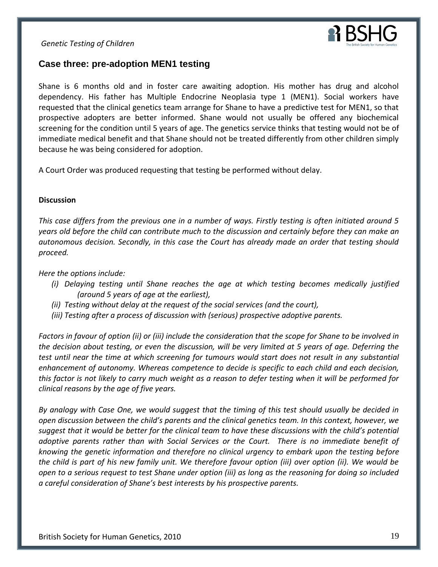

# <span id="page-19-0"></span>**Case three: pre-adoption MEN1 testing**

Shane is 6 months old and in foster care awaiting adoption. His mother has drug and alcohol dependency. His father has Multiple Endocrine Neoplasia type 1 (MEN1). Social workers have requested that the clinical genetics team arrange for Shane to have a predictive test for MEN1, so that prospective adopters are better informed. Shane would not usually be offered any biochemical screening for the condition until 5 years of age. The genetics service thinks that testing would not be of immediate medical benefit and that Shane should not be treated differently from other children simply because he was being considered for adoption.

A Court Order was produced requesting that testing be performed without delay.

#### **Discussion**

*This case differs from the previous one in a number of ways. Firstly testing is often initiated around 5 years old before the child can contribute much to the discussion and certainly before they can make an autonomous decision. Secondly, in this case the Court has already made an order that testing should proceed.* 

*Here the options include:*

- *(i) Delaying testing until Shane reaches the age at which testing becomes medically justified (around 5 years of age at the earliest),*
- *(ii) Testing without delay at the request of the social services (and the court),*
- *(iii) Testing after a process of discussion with (serious) prospective adoptive parents.*

*Factors in favour of option (ii) or (iii) include the consideration that the scope for Shane to be involved in the decision about testing, or even the discussion, will be very limited at 5 years of age. Deferring the test until near the time at which screening for tumours would start does not result in any substantial enhancement of autonomy. Whereas competence to decide is specific to each child and each decision, this factor is not likely to carry much weight as a reason to defer testing when it will be performed for clinical reasons by the age of five years.*

*By analogy with Case One, we would suggest that the timing of this test should usually be decided in open discussion between the child's parents and the clinical genetics team. In this context, however, we suggest that it would be better for the clinical team to have these discussions with the child's potential adoptive parents rather than with Social Services or the Court. There is no immediate benefit of knowing the genetic information and therefore no clinical urgency to embark upon the testing before the child is part of his new family unit. We therefore favour option (iii) over option (ii). We would be open to a serious request to test Shane under option (iii) as long as the reasoning for doing so included a careful consideration of Shane's best interests by his prospective parents.*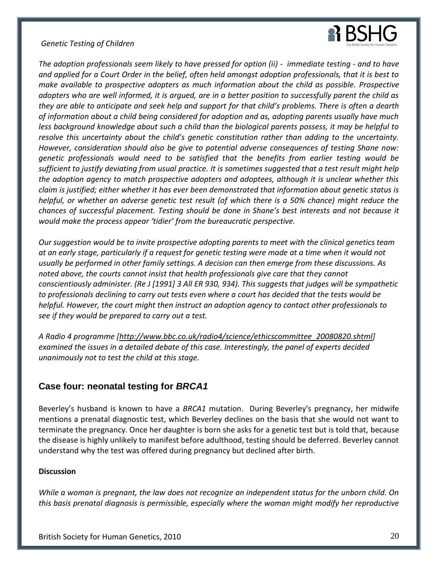

*The adoption professionals seem likely to have pressed for option (ii) - immediate testing - and to have and applied for a Court Order in the belief, often held amongst adoption professionals, that it is best to make available to prospective adopters as much information about the child as possible. Prospective adopters who are well informed, it is argued, are in a better position to successfully parent the child as they are able to anticipate and seek help and support for that child's problems. There is often a dearth of information about a child being considered for adoption and as, adopting parents usually have much less background knowledge about such a child than the biological parents possess, it may be helpful to resolve this uncertainty about the child's genetic constitution rather than adding to the uncertainty. However, consideration should also be give to potential adverse consequences of testing Shane now: genetic professionals would need to be satisfied that the benefits from earlier testing would be sufficient to justify deviating from usual practice. It is sometimes suggested that a test result might help the adoption agency to match prospective adopters and adoptees, although it is unclear whether this claim is justified; either whether it has ever been demonstrated that information about genetic status is helpful, or whether an adverse genetic test result (of which there is a 50% chance) might reduce the chances of successful placement. Testing should be done in Shane's best interests and not because it would make the process appear 'tidier' from the bureaucratic perspective.*

*Our suggestion would be to invite prospective adopting parents to meet with the clinical genetics team at an early stage, particularly if a request for genetic testing were made at a time when it would not usually be performed in other family settings. A decision can then emerge from these discussions. As noted above, the courts cannot insist that health professionals give care that they cannot conscientiously administer. (Re J [1991] 3 All ER 930, 934). This suggests that judges will be sympathetic to professionals declining to carry out tests even where a court has decided that the tests would be helpful. However, the court might then instruct an adoption agency to contact other professionals to see if they would be prepared to carry out a test.*

*A Radio 4 programme [\[http://www.bbc.co.uk/radio4/science/ethicscommittee\\_20080820.shtml\]](http://www.bbc.co.uk/radio4/science/ethicscommittee_20080820.shtml) examined the issues in a detailed debate of this case. Interestingly, the panel of experts decided unanimously not to test the child at this stage.*

# <span id="page-20-0"></span>**Case four: neonatal testing for** *BRCA1*

Beverley's husband is known to have a *BRCA1* mutation. During Beverley's pregnancy, her midwife mentions a prenatal diagnostic test, which Beverley declines on the basis that she would not want to terminate the pregnancy. Once her daughter is born she asks for a genetic test but is told that, because the disease is highly unlikely to manifest before adulthood, testing should be deferred. Beverley cannot understand why the test was offered during pregnancy but declined after birth.

#### **Discussion**

*While a woman is pregnant, the law does not recognize an independent status for the unborn child. On this basis prenatal diagnosis is permissible, especially where the woman might modify her reproductive*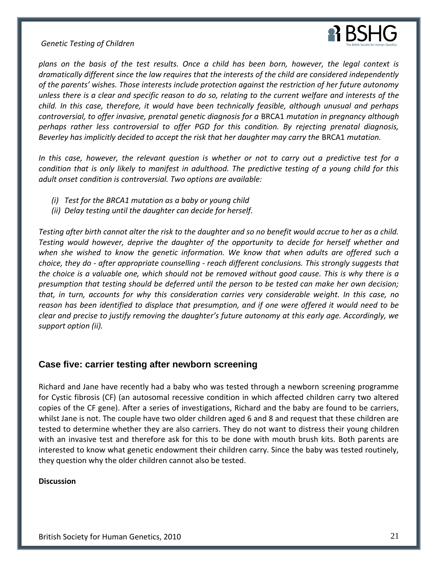

*plans on the basis of the test results. Once a child has been born, however, the legal context is dramatically different since the law requires that the interests of the child are considered independently of the parents' wishes. Those interests include protection against the restriction of her future autonomy unless there is a clear and specific reason to do so, relating to the current welfare and interests of the child. In this case, therefore, it would have been technically feasible, although unusual and perhaps controversial, to offer invasive, prenatal genetic diagnosis for a* BRCA1 *mutation in pregnancy although perhaps rather less controversial to offer PGD for this condition. By rejecting prenatal diagnosis, Beverley has implicitly decided to accept the risk that her daughter may carry the* BRCA1 *mutation.*

*In this case, however, the relevant question is whether or not to carry out a predictive test for a condition that is only likely to manifest in adulthood. The predictive testing of a young child for this adult onset condition is controversial. Two options are available:*

- *(i) Test for the BRCA1 mutation as a baby or young child*
- *(ii) Delay testing until the daughter can decide for herself.*

*Testing after birth cannot alter the risk to the daughter and so no benefit would accrue to her as a child. Testing would however, deprive the daughter of the opportunity to decide for herself whether and when she wished to know the genetic information. We know that when adults are offered such a choice, they do - after appropriate counselling - reach different conclusions. This strongly suggests that the choice is a valuable one, which should not be removed without good cause. This is why there is a presumption that testing should be deferred until the person to be tested can make her own decision; that, in turn, accounts for why this consideration carries very considerable weight. In this case, no reason has been identified to displace that presumption, and if one were offered it would need to be clear and precise to justify removing the daughter's future autonomy at this early age. Accordingly, we support option (ii).* 

# <span id="page-21-0"></span>**Case five: carrier testing after newborn screening**

Richard and Jane have recently had a baby who was tested through a newborn screening programme for Cystic fibrosis (CF) (an autosomal recessive condition in which affected children carry two altered copies of the CF gene). After a series of investigations, Richard and the baby are found to be carriers, whilst Jane is not. The couple have two older children aged 6 and 8 and request that these children are tested to determine whether they are also carriers. They do not want to distress their young children with an invasive test and therefore ask for this to be done with mouth brush kits. Both parents are interested to know what genetic endowment their children carry. Since the baby was tested routinely, they question why the older children cannot also be tested.

#### **Discussion**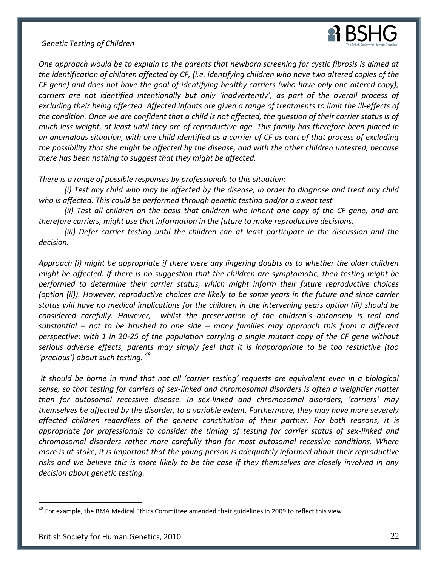

*One approach would be to explain to the parents that newborn screening for cystic fibrosis is aimed at the identification of children affected by CF, (i.e. identifying children who have two altered copies of the CF gene) and does not have the goal of identifying healthy carriers (who have only one altered copy); carriers are not identified intentionally but only 'inadvertently', as part of the overall process of excluding their being affected. Affected infants are given a range of treatments to limit the ill-effects of the condition. Once we are confident that a child is not affected, the question of their carrier status is of much less weight, at least until they are of reproductive age. This family has therefore been placed in an anomalous situation, with one child identified as a carrier of CF as part of that process of excluding the possibility that she might be affected by the disease, and with the other children untested, because there has been nothing to suggest that they might be affected.*

*There is a range of possible responses by professionals to this situation:*

*(i) Test any child who may be affected by the disease, in order to diagnose and treat any child who is affected. This could be performed through genetic testing and/or a sweat test*

*(ii) Test all children on the basis that children who inherit one copy of the CF gene, and are therefore carriers, might use that information in the future to make reproductive decisions.*

*(iii) Defer carrier testing until the children can at least participate in the discussion and the decision.*

*Approach (i) might be appropriate if there were any lingering doubts as to whether the older children might be affected. If there is no suggestion that the children are symptomatic, then testing might be performed to determine their carrier status, which might inform their future reproductive choices (option (ii)). However, reproductive choices are likely to be some years in the future and since carrier status will have no medical implications for the children in the intervening years option (iii) should be considered carefully. However, whilst the preservation of the children's autonomy is real and substantial – not to be brushed to one side – many families may approach this from a different perspective: with 1 in 20-25 of the population carrying a single mutant copy of the CF gene without serious adverse effects, parents may simply feel that it is inappropriate to be too restrictive (too 'precious') about such testing. <sup>48</sup>*

*It should be borne in mind that not all 'carrier testing' requests are equivalent even in a biological sense, so that testing for carriers of sex-linked and chromosomal disorders is often a weightier matter than for autosomal recessive disease. In sex-linked and chromosomal disorders, 'carriers' may themselves be affected by the disorder, to a variable extent. Furthermore, they may have more severely affected children regardless of the genetic constitution of their partner. For both reasons, it is appropriate for professionals to consider the timing of testing for carrier status of sex-linked and chromosomal disorders rather more carefully than for most autosomal recessive conditions. Where more is at stake, it is important that the young person is adequately informed about their reproductive risks and we believe this is more likely to be the case if they themselves are closely involved in any decision about genetic testing.*

 $48$  For example, the BMA Medical Ethics Committee amended their guidelines in 2009 to reflect this view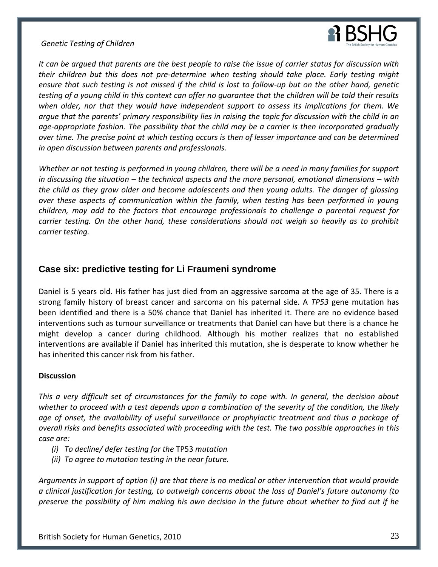

*It can be argued that parents are the best people to raise the issue of carrier status for discussion with their children but this does not pre-determine when testing should take place. Early testing might ensure that such testing is not missed if the child is lost to follow-up but on the other hand, genetic testing of a young child in this context can offer no guarantee that the children will be told their results when older, nor that they would have independent support to assess its implications for them. We argue that the parents' primary responsibility lies in raising the topic for discussion with the child in an age-appropriate fashion. The possibility that the child may be a carrier is then incorporated gradually over time. The precise point at which testing occurs is then of lesser importance and can be determined in open discussion between parents and professionals.*

*Whether or not testing is performed in young children, there will be a need in many families for support in discussing the situation – the technical aspects and the more personal, emotional dimensions – with the child as they grow older and become adolescents and then young adults. The danger of glossing over these aspects of communication within the family, when testing has been performed in young children, may add to the factors that encourage professionals to challenge a parental request for carrier testing. On the other hand, these considerations should not weigh so heavily as to prohibit carrier testing.*

# <span id="page-23-0"></span>**Case six: predictive testing for Li Fraumeni syndrome**

Daniel is 5 years old. His father has just died from an aggressive sarcoma at the age of 35. There is a strong family history of breast cancer and sarcoma on his paternal side. A *TP53* gene mutation has been identified and there is a 50% chance that Daniel has inherited it. There are no evidence based interventions such as tumour surveillance or treatments that Daniel can have but there is a chance he might develop a cancer during childhood. Although his mother realizes that no established interventions are available if Daniel has inherited this mutation, she is desperate to know whether he has inherited this cancer risk from his father.

#### **Discussion**

*This a very difficult set of circumstances for the family to cope with. In general, the decision about whether to proceed with a test depends upon a combination of the severity of the condition, the likely age of onset, the availability of useful surveillance or prophylactic treatment and thus a package of overall risks and benefits associated with proceeding with the test. The two possible approaches in this case are:*

- *(i) To decline/ defer testing for the* TP53 *mutation*
- *(ii) To agree to mutation testing in the near future.*

*Arguments in support of option (i) are that there is no medical or other intervention that would provide a clinical justification for testing, to outweigh concerns about the loss of Daniel's future autonomy (to preserve the possibility of him making his own decision in the future about whether to find out if he*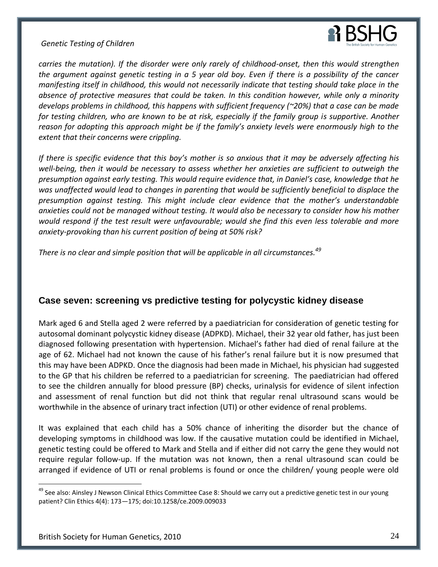# **R** BSHG

*Genetic Testing of Children* 

*carries the mutation). If the disorder were only rarely of childhood-onset, then this would strengthen the argument against genetic testing in a 5 year old boy. Even if there is a possibility of the cancer manifesting itself in childhood, this would not necessarily indicate that testing should take place in the absence of protective measures that could be taken. In this condition however, while only a minority develops problems in childhood, this happens with sufficient frequency (~20%) that a case can be made for testing children, who are known to be at risk, especially if the family group is supportive. Another reason for adopting this approach might be if the family's anxiety levels were enormously high to the extent that their concerns were crippling.* 

*If there is specific evidence that this boy's mother is so anxious that it may be adversely affecting his well-being, then it would be necessary to assess whether her anxieties are sufficient to outweigh the presumption against early testing. This would require evidence that, in Daniel's case, knowledge that he was unaffected would lead to changes in parenting that would be sufficiently beneficial to displace the presumption against testing. This might include clear evidence that the mother's understandable anxieties could not be managed without testing. It would also be necessary to consider how his mother would respond if the test result were unfavourable; would she find this even less tolerable and more anxiety-provoking than his current position of being at 50% risk?*

*There is no clear and simple position that will be applicable in all circumstances.<sup>49</sup>*

# <span id="page-24-0"></span>**Case seven: screening vs predictive testing for polycystic kidney disease**

Mark aged 6 and Stella aged 2 were referred by a paediatrician for consideration of genetic testing for autosomal dominant polycystic kidney disease (ADPKD). Michael, their 32 year old father, has just been diagnosed following presentation with hypertension. Michael's father had died of renal failure at the age of 62. Michael had not known the cause of his father's renal failure but it is now presumed that this may have been ADPKD. Once the diagnosis had been made in Michael, his physician had suggested to the GP that his children be referred to a paediatrician for screening. The paediatrician had offered to see the children annually for blood pressure (BP) checks, urinalysis for evidence of silent infection and assessment of renal function but did not think that regular renal ultrasound scans would be worthwhile in the absence of urinary tract infection (UTI) or other evidence of renal problems.

It was explained that each child has a 50% chance of inheriting the disorder but the chance of developing symptoms in childhood was low. If the causative mutation could be identified in Michael, genetic testing could be offered to Mark and Stella and if either did not carry the gene they would not require regular follow-up. If the mutation was not known, then a renal ultrasound scan could be arranged if evidence of UTI or renal problems is found or once the children/ young people were old

<sup>&</sup>lt;sup>49</sup> See also: Ainsley J Newson Clinical Ethics Committee Case 8: Should we carry out a predictive genetic test in our young patient? Clin Ethics 4(4): 173—175; doi:10.1258/ce.2009.009033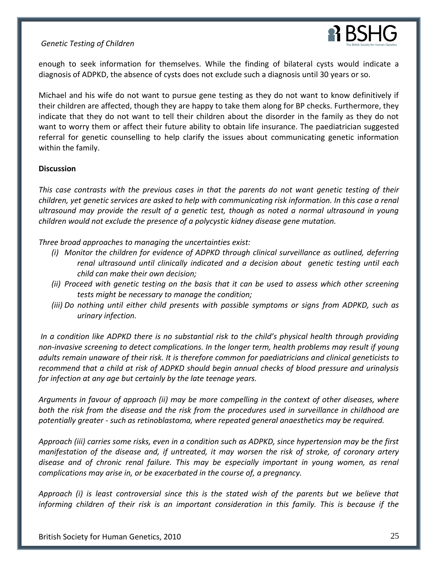

enough to seek information for themselves. While the finding of bilateral cysts would indicate a diagnosis of ADPKD, the absence of cysts does not exclude such a diagnosis until 30 years or so.

Michael and his wife do not want to pursue gene testing as they do not want to know definitively if their children are affected, though they are happy to take them along for BP checks. Furthermore, they indicate that they do not want to tell their children about the disorder in the family as they do not want to worry them or affect their future ability to obtain life insurance. The paediatrician suggested referral for genetic counselling to help clarify the issues about communicating genetic information within the family.

#### **Discussion**

*This case contrasts with the previous cases in that the parents do not want genetic testing of their children, yet genetic services are asked to help with communicating risk information. In this case a renal ultrasound may provide the result of a genetic test, though as noted a normal ultrasound in young children would not exclude the presence of a polycystic kidney disease gene mutation.* 

*Three broad approaches to managing the uncertainties exist:*

- *(i) Monitor the children for evidence of ADPKD through clinical surveillance as outlined, deferring renal ultrasound until clinically indicated and a decision about genetic testing until each child can make their own decision;*
- *(ii) Proceed with genetic testing on the basis that it can be used to assess which other screening tests might be necessary to manage the condition;*
- *(iii) Do nothing until either child presents with possible symptoms or signs from ADPKD, such as urinary infection.*

*In a condition like ADPKD there is no substantial risk to the child's physical health through providing non-invasive screening to detect complications. In the longer term, health problems may result if young adults remain unaware of their risk. It is therefore common for paediatricians and clinical geneticists to recommend that a child at risk of ADPKD should begin annual checks of blood pressure and urinalysis for infection at any age but certainly by the late teenage years.*

*Arguments in favour of approach (ii) may be more compelling in the context of other diseases, where both the risk from the disease and the risk from the procedures used in surveillance in childhood are potentially greater - such as retinoblastoma, where repeated general anaesthetics may be required.* 

*Approach (iii) carries some risks, even in a condition such as ADPKD, since hypertension may be the first manifestation of the disease and, if untreated, it may worsen the risk of stroke, of coronary artery disease and of chronic renal failure. This may be especially important in young women, as renal complications may arise in, or be exacerbated in the course of, a pregnancy.*

*Approach (i) is least controversial since this is the stated wish of the parents but we believe that informing children of their risk is an important consideration in this family. This is because if the*